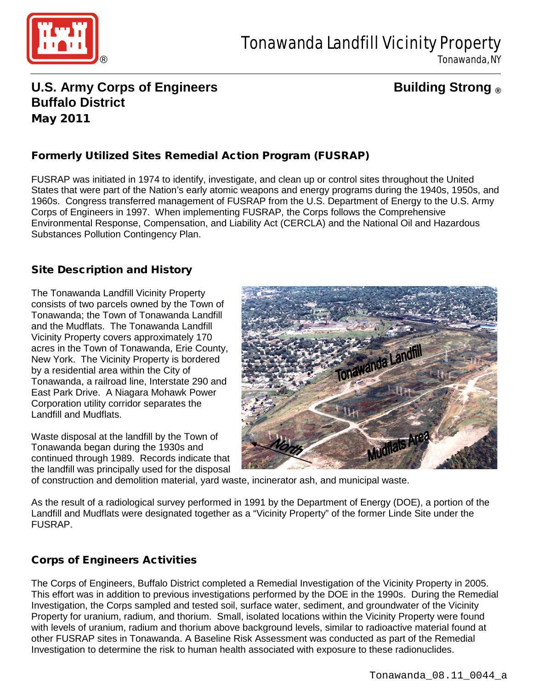

Tonawanda, NY

# **U.S. Army Corps of Engineers Building Strong ® Buffalo District** May 2011

# Formerly Utilized Sites Remedial Action Program (FUSRAP)

FUSRAP was initiated in 1974 to identify, investigate, and clean up or control sites throughout the United States that were part of the Nation's early atomic weapons and energy programs during the 1940s, 1950s, and 1960s. Congress transferred management of FUSRAP from the U.S. Department of Energy to the U.S. Army Corps of Engineers in 1997. When implementing FUSRAP, the Corps follows the Comprehensive Environmental Response, Compensation, and Liability Act (CERCLA) and the National Oil and Hazardous Substances Pollution Contingency Plan.

### Site Description and History

The Tonawanda Landfill Vicinity Property consists of two parcels owned by the Town of Tonawanda; the Town of Tonawanda Landfill and the Mudflats. The Tonawanda Landfill Vicinity Property covers approximately 170 acres in the Town of Tonawanda, Erie County, New York. The Vicinity Property is bordered by a residential area within the City of Tonawanda, a railroad line, Interstate 290 and East Park Drive. A Niagara Mohawk Power Corporation utility corridor separates the Landfill and Mudflats.

Waste disposal at the landfill by the Town of Tonawanda began during the 1930s and continued through 1989. Records indicate that the landfill was principally used for the disposal



of construction and demolition material, yard waste, incinerator ash, and municipal waste.

As the result of a radiological survey performed in 1991 by the Department of Energy (DOE), a portion of the Landfill and Mudflats were designated together as a "Vicinity Property" of the former Linde Site under the FUSRAP.

## Corps of Engineers Activities

The Corps of Engineers, Buffalo District completed a Remedial Investigation of the Vicinity Property in 2005. This effort was in addition to previous investigations performed by the DOE in the 1990s. During the Remedial Investigation, the Corps sampled and tested soil, surface water, sediment, and groundwater of the Vicinity Property for uranium, radium, and thorium. Small, isolated locations within the Vicinity Property were found with levels of uranium, radium and thorium above background levels, similar to radioactive material found at other FUSRAP sites in Tonawanda. A Baseline Risk Assessment was conducted as part of the Remedial Investigation to determine the risk to human health associated with exposure to these radionuclides.